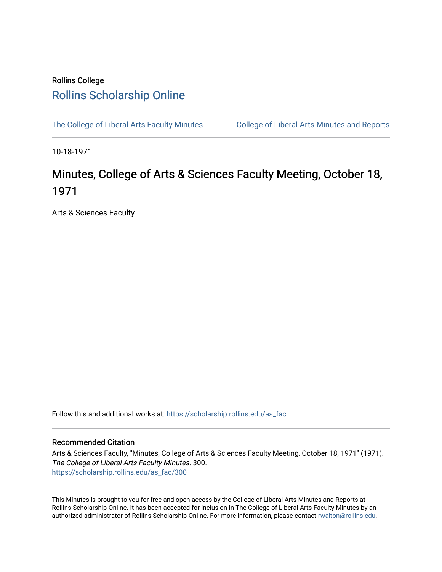# Rollins College [Rollins Scholarship Online](https://scholarship.rollins.edu/)

[The College of Liberal Arts Faculty Minutes](https://scholarship.rollins.edu/as_fac) College of Liberal Arts Minutes and Reports

10-18-1971

# Minutes, College of Arts & Sciences Faculty Meeting, October 18, 1971

Arts & Sciences Faculty

Follow this and additional works at: [https://scholarship.rollins.edu/as\\_fac](https://scholarship.rollins.edu/as_fac?utm_source=scholarship.rollins.edu%2Fas_fac%2F300&utm_medium=PDF&utm_campaign=PDFCoverPages) 

# Recommended Citation

Arts & Sciences Faculty, "Minutes, College of Arts & Sciences Faculty Meeting, October 18, 1971" (1971). The College of Liberal Arts Faculty Minutes. 300. [https://scholarship.rollins.edu/as\\_fac/300](https://scholarship.rollins.edu/as_fac/300?utm_source=scholarship.rollins.edu%2Fas_fac%2F300&utm_medium=PDF&utm_campaign=PDFCoverPages) 

This Minutes is brought to you for free and open access by the College of Liberal Arts Minutes and Reports at Rollins Scholarship Online. It has been accepted for inclusion in The College of Liberal Arts Faculty Minutes by an authorized administrator of Rollins Scholarship Online. For more information, please contact [rwalton@rollins.edu](mailto:rwalton@rollins.edu).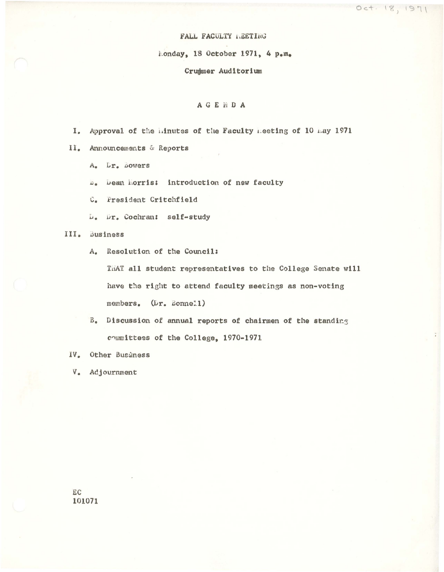#### FALL FACULTY LEETING

Monday, 18 October 1971, 4 p.m.

#### Crummer Auditorium

## AGENDA

- I. Approval of the minutes of the Faculty meeting of 10 may 1971
- II. Announcements & Reports
	- A. Dr. Bowers
	- D. Dean Horris: introduction of new faculty
	- C. President Critchfield
	- L. Dr. Cochran: self-study

### III. Business

A. Resolution of the Council:

THAT all student representatives to the College Senate will have the right to attend faculty meetings as non-voting members. (Dr. Bonne11)

- B. Discussion of annual reports of chairmen of the standing committees of the College, 1970-1971
- IV. Other Business
- V. Adjournment

EC 101071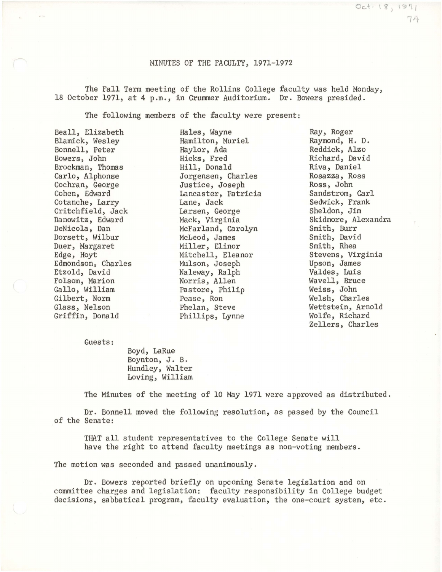#### MINUTES OF THE FACULTY, 1971-1972

The Fall Term meeting of the Rollins College faculty was held Monday, 18 October 1971, at 4 p.m., in Crummer Auditorium. Dr. Bowers presided.

The following members of the faculty were present:

Hales, Wayne

Beall, Elizabeth Blamick, Wesley Bonnell, Peter Bowers, John Brockman, Thomas Carlo, Alphonse Cochran, George Cohen, Edward Cotanche, Larry Critchfield, Jack Danowitz, Edward DeNicola, Dan Dorsett, Wilbur Duer, Margaret Edge, Hoyt Edmondson, Charles Etzold, David Folsom, Marion Gallo, William Gilbert, Norm Glass, Nelson Griffin, Donald

Hamilton, Muriel Haylor, Ada Hicks, Fred Hill, Donald Jorgensen, Charles Justice, Joseph Lancaster, Patricia Lane, Jack Larsen, George Mack, Virginia McFarland, Carolyn McLeod, James Miller, Elinor Mitchell, Eleanor Mulson, Joseph Naleway, Ralph Norris, Allen Pastore, Philip Pease, Ron Phelan, Steve Phillips, Lynne

Ray, Roger Raymond, H. D. Reddick, Alzo Richard, David Riva, Daniel Rosazza, Ross Ross, John Sandstrom, Carl Sedwick, Frank Sheldon, Jim Skidmore, Alexandra Smith, Burr Smith, David Smith, Rhea Stevens, Virginia Upson, James Valdes, Luis Wavell, Bruce Weiss, John Welsh, Charles Wettstein, Arnold Wolfe, Richard Zellers, Charles

 $Oc+18,1971$ 

74

Guests:

Boyd, LaRue Boynton, J.B. Hundley, Walter Loving, William

The Minutes of the meeting of 10 May 1971 were approved as distributed.

Dr. Bonnell moved the following resolution, as passed by the Council of the Senate:

THAT all student representatives to the College Senate will have the right to attend faculty meetings as non-voting members.

The motion was seconded and passed unanimously.

Dr. Bowers reported briefly on upcoming Senate legislation and on committee charges and legislation: faculty responsibility in College budget decisions, sabbatical program, faculty evaluation, the one-court system, etc.